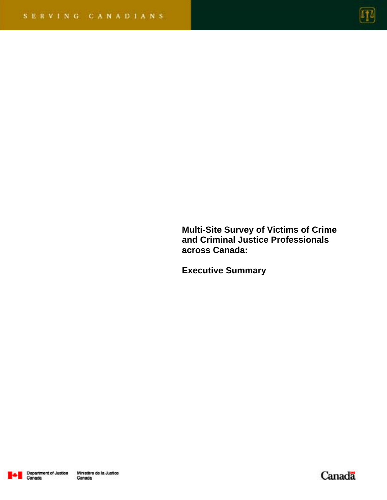

**Multi-Site Survey of Victims of Crime and Criminal Justice Professionals across Canada:** 

**Executive Summary** 



Canada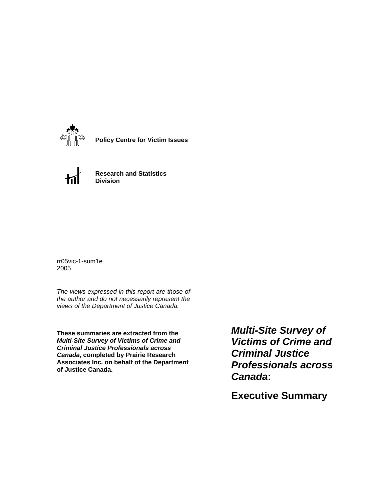

**Policy Centre for Victim Issues**



**Research and Statistics Division**

rr05vic-1-sum1e 2005

*The views expressed in this report are those of the author and do not necessarily represent the views of the Department of Justice Canada.*

**These summaries are extracted from the**  *Multi-Site Survey of Victims of Crime and Criminal Justice Professionals across Canada***, completed by Prairie Research Associates Inc. on behalf of the Department of Justice Canada.**

*Multi-Site Survey of Victims of Crime and Criminal Justice Professionals across Canada***:** 

**Executive Summary**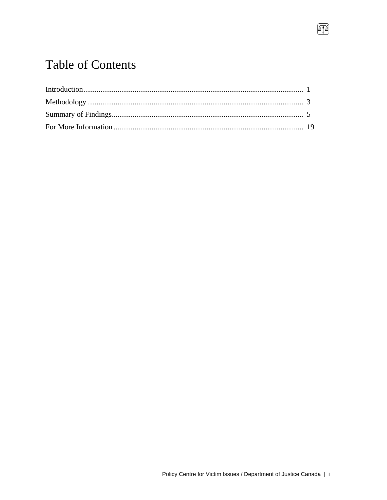# **Table of Contents**

 $\Pi$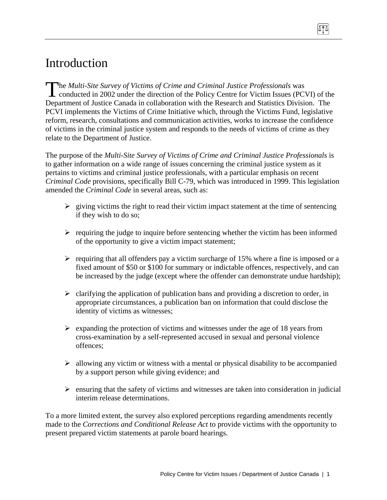# Introduction

**The Multi-Site Survey of Victims of Crime and Criminal Justice Professionals was** The Multi-Site Survey of Victims of Crime and Criminal Justice Professionals was<br>conducted in 2002 under the direction of the Policy Centre for Victim Issues (PCVI) of the Department of Justice Canada in collaboration with the Research and Statistics Division. The PCVI implements the Victims of Crime Initiative which, through the Victims Fund, legislative reform, research, consultations and communication activities, works to increase the confidence of victims in the criminal justice system and responds to the needs of victims of crime as they relate to the Department of Justice.

The purpose of the *Multi-Site Survey of Victims of Crime and Criminal Justice Professionals* is to gather information on a wide range of issues concerning the criminal justice system as it pertains to victims and criminal justice professionals, with a particular emphasis on recent *Criminal Code* provisions, specifically Bill C-79, which was introduced in 1999. This legislation amended the *Criminal Code* in several areas, such as:

- $\triangleright$  giving victims the right to read their victim impact statement at the time of sentencing if they wish to do so;
- $\triangleright$  requiring the judge to inquire before sentencing whether the victim has been informed of the opportunity to give a victim impact statement;
- $\triangleright$  requiring that all offenders pay a victim surcharge of 15% where a fine is imposed or a fixed amount of \$50 or \$100 for summary or indictable offences, respectively, and can be increased by the judge (except where the offender can demonstrate undue hardship);
- $\triangleright$  clarifying the application of publication bans and providing a discretion to order, in appropriate circumstances, a publication ban on information that could disclose the identity of victims as witnesses;
- $\triangleright$  expanding the protection of victims and witnesses under the age of 18 years from cross-examination by a self-represented accused in sexual and personal violence offences;
- $\triangleright$  allowing any victim or witness with a mental or physical disability to be accompanied by a support person while giving evidence; and
- $\triangleright$  ensuring that the safety of victims and witnesses are taken into consideration in judicial interim release determinations.

To a more limited extent, the survey also explored perceptions regarding amendments recently made to the *Corrections and Conditional Release Act* to provide victims with the opportunity to present prepared victim statements at parole board hearings.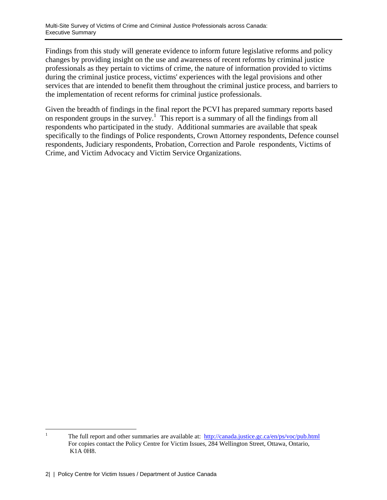Findings from this study will generate evidence to inform future legislative reforms and policy changes by providing insight on the use and awareness of recent reforms by criminal justice professionals as they pertain to victims of crime, the nature of information provided to victims during the criminal justice process, victims' experiences with the legal provisions and other services that are intended to benefit them throughout the criminal justice process, and barriers to the implementation of recent reforms for criminal justice professionals.

Given the breadth of findings in the final report the PCVI has prepared summary reports based on respondent groups in the survey.<sup>1</sup> This report is a summary of all the findings from all respondents who participated in the study. Additional summaries are available that speak specifically to the findings of Police respondents, Crown Attorney respondents, Defence counsel respondents, Judiciary respondents, Probation, Correction and Parole respondents, Victims of Crime, and Victim Advocacy and Victim Service Organizations.

 $\frac{1}{1}$  The full report and other summaries are available at: http://canada.justice.gc.ca/en/ps/voc/pub.html For copies contact the Policy Centre for Victim Issues, 284 Wellington Street, Ottawa, Ontario, K1A 0H8.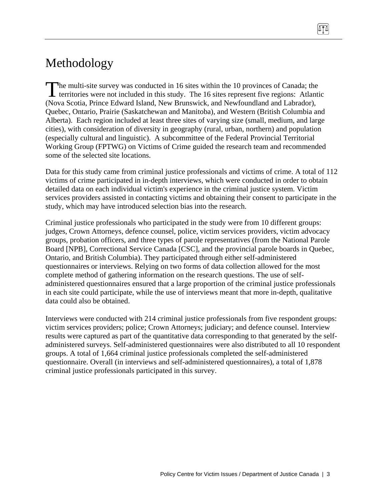# Methodology

The multi-site survey was conducted in 16 sites within the 10 provinces of Canada; the The multi-site survey was conducted in 16 sites within the 10 provinces of Canada; the territories were not included in this study. The 16 sites represent five regions: Atlantic (Nova Scotia, Prince Edward Island, New Brunswick, and Newfoundland and Labrador), Quebec, Ontario, Prairie (Saskatchewan and Manitoba), and Western (British Columbia and Alberta). Each region included at least three sites of varying size (small, medium, and large cities), with consideration of diversity in geography (rural, urban, northern) and population (especially cultural and linguistic). A subcommittee of the Federal Provincial Territorial Working Group (FPTWG) on Victims of Crime guided the research team and recommended some of the selected site locations.

Data for this study came from criminal justice professionals and victims of crime. A total of 112 victims of crime participated in in-depth interviews, which were conducted in order to obtain detailed data on each individual victim's experience in the criminal justice system. Victim services providers assisted in contacting victims and obtaining their consent to participate in the study, which may have introduced selection bias into the research.

Criminal justice professionals who participated in the study were from 10 different groups: judges, Crown Attorneys, defence counsel, police, victim services providers, victim advocacy groups, probation officers, and three types of parole representatives (from the National Parole Board [NPB], Correctional Service Canada [CSC], and the provincial parole boards in Quebec, Ontario, and British Columbia). They participated through either self-administered questionnaires or interviews. Relying on two forms of data collection allowed for the most complete method of gathering information on the research questions. The use of selfadministered questionnaires ensured that a large proportion of the criminal justice professionals in each site could participate, while the use of interviews meant that more in-depth, qualitative data could also be obtained.

Interviews were conducted with 214 criminal justice professionals from five respondent groups: victim services providers; police; Crown Attorneys; judiciary; and defence counsel. Interview results were captured as part of the quantitative data corresponding to that generated by the selfadministered surveys. Self-administered questionnaires were also distributed to all 10 respondent groups. A total of 1,664 criminal justice professionals completed the self-administered questionnaire. Overall (in interviews and self-administered questionnaires), a total of 1,878 criminal justice professionals participated in this survey.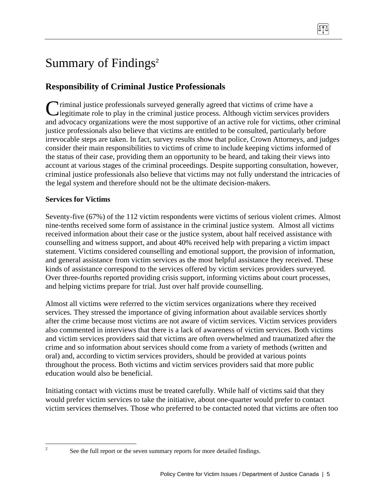# Summary of Findings<sup>2</sup>

# **Responsibility of Criminal Justice Professionals**

Criminal justice professionals surveyed generally agreed that victims of crime have a legitimate role to play in the criminal justice process. Although victim services prov legitimate role to play in the criminal justice process. Although victim services providers and advocacy organizations were the most supportive of an active role for victims, other criminal justice professionals also believe that victims are entitled to be consulted, particularly before irrevocable steps are taken. In fact, survey results show that police, Crown Attorneys, and judges consider their main responsibilities to victims of crime to include keeping victims informed of the status of their case, providing them an opportunity to be heard, and taking their views into account at various stages of the criminal proceedings. Despite supporting consultation, however, criminal justice professionals also believe that victims may not fully understand the intricacies of the legal system and therefore should not be the ultimate decision-makers.

# **Services for Victims**

Seventy-five (67%) of the 112 victim respondents were victims of serious violent crimes. Almost nine-tenths received some form of assistance in the criminal justice system. Almost all victims received information about their case or the justice system, about half received assistance with counselling and witness support, and about 40% received help with preparing a victim impact statement. Victims considered counselling and emotional support, the provision of information, and general assistance from victim services as the most helpful assistance they received. These kinds of assistance correspond to the services offered by victim services providers surveyed. Over three-fourths reported providing crisis support, informing victims about court processes, and helping victims prepare for trial. Just over half provide counselling.

Almost all victims were referred to the victim services organizations where they received services. They stressed the importance of giving information about available services shortly after the crime because most victims are not aware of victim services. Victim services providers also commented in interviews that there is a lack of awareness of victim services. Both victims and victim services providers said that victims are often overwhelmed and traumatized after the crime and so information about services should come from a variety of methods (written and oral) and, according to victim services providers, should be provided at various points throughout the process. Both victims and victim services providers said that more public education would also be beneficial.

Initiating contact with victims must be treated carefully. While half of victims said that they would prefer victim services to take the initiative, about one-quarter would prefer to contact victim services themselves. Those who preferred to be contacted noted that victims are often too

 $\frac{1}{2}$ 

See the full report or the seven summary reports for more detailed findings.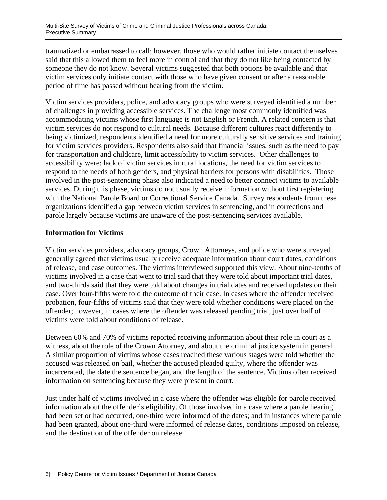traumatized or embarrassed to call; however, those who would rather initiate contact themselves said that this allowed them to feel more in control and that they do not like being contacted by someone they do not know. Several victims suggested that both options be available and that victim services only initiate contact with those who have given consent or after a reasonable period of time has passed without hearing from the victim.

Victim services providers, police, and advocacy groups who were surveyed identified a number of challenges in providing accessible services. The challenge most commonly identified was accommodating victims whose first language is not English or French. A related concern is that victim services do not respond to cultural needs. Because different cultures react differently to being victimized, respondents identified a need for more culturally sensitive services and training for victim services providers. Respondents also said that financial issues, such as the need to pay for transportation and childcare, limit accessibility to victim services. Other challenges to accessibility were: lack of victim services in rural locations, the need for victim services to respond to the needs of both genders, and physical barriers for persons with disabilities. Those involved in the post-sentencing phase also indicated a need to better connect victims to available services. During this phase, victims do not usually receive information without first registering with the National Parole Board or Correctional Service Canada. Survey respondents from these organizations identified a gap between victim services in sentencing, and in corrections and parole largely because victims are unaware of the post-sentencing services available.

#### **Information for Victims**

Victim services providers, advocacy groups, Crown Attorneys, and police who were surveyed generally agreed that victims usually receive adequate information about court dates, conditions of release, and case outcomes. The victims interviewed supported this view. About nine-tenths of victims involved in a case that went to trial said that they were told about important trial dates, and two-thirds said that they were told about changes in trial dates and received updates on their case. Over four-fifths were told the outcome of their case. In cases where the offender received probation, four-fifths of victims said that they were told whether conditions were placed on the offender; however, in cases where the offender was released pending trial, just over half of victims were told about conditions of release.

Between 60% and 70% of victims reported receiving information about their role in court as a witness, about the role of the Crown Attorney, and about the criminal justice system in general. A similar proportion of victims whose cases reached these various stages were told whether the accused was released on bail, whether the accused pleaded guilty, where the offender was incarcerated, the date the sentence began, and the length of the sentence. Victims often received information on sentencing because they were present in court.

Just under half of victims involved in a case where the offender was eligible for parole received information about the offender's eligibility. Of those involved in a case where a parole hearing had been set or had occurred, one-third were informed of the dates; and in instances where parole had been granted, about one-third were informed of release dates, conditions imposed on release, and the destination of the offender on release.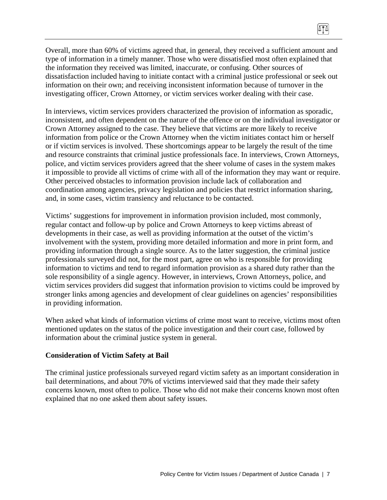Overall, more than 60% of victims agreed that, in general, they received a sufficient amount and type of information in a timely manner. Those who were dissatisfied most often explained that the information they received was limited, inaccurate, or confusing. Other sources of dissatisfaction included having to initiate contact with a criminal justice professional or seek out information on their own; and receiving inconsistent information because of turnover in the investigating officer, Crown Attorney, or victim services worker dealing with their case.

In interviews, victim services providers characterized the provision of information as sporadic, inconsistent, and often dependent on the nature of the offence or on the individual investigator or Crown Attorney assigned to the case. They believe that victims are more likely to receive information from police or the Crown Attorney when the victim initiates contact him or herself or if victim services is involved. These shortcomings appear to be largely the result of the time and resource constraints that criminal justice professionals face. In interviews, Crown Attorneys, police, and victim services providers agreed that the sheer volume of cases in the system makes it impossible to provide all victims of crime with all of the information they may want or require. Other perceived obstacles to information provision include lack of collaboration and coordination among agencies, privacy legislation and policies that restrict information sharing, and, in some cases, victim transiency and reluctance to be contacted.

Victims' suggestions for improvement in information provision included, most commonly, regular contact and follow-up by police and Crown Attorneys to keep victims abreast of developments in their case, as well as providing information at the outset of the victim's involvement with the system, providing more detailed information and more in print form, and providing information through a single source. As to the latter suggestion, the criminal justice professionals surveyed did not, for the most part, agree on who is responsible for providing information to victims and tend to regard information provision as a shared duty rather than the sole responsibility of a single agency. However, in interviews, Crown Attorneys, police, and victim services providers did suggest that information provision to victims could be improved by stronger links among agencies and development of clear guidelines on agencies' responsibilities in providing information.

When asked what kinds of information victims of crime most want to receive, victims most often mentioned updates on the status of the police investigation and their court case, followed by information about the criminal justice system in general.

#### **Consideration of Victim Safety at Bail**

The criminal justice professionals surveyed regard victim safety as an important consideration in bail determinations, and about 70% of victims interviewed said that they made their safety concerns known, most often to police. Those who did not make their concerns known most often explained that no one asked them about safety issues.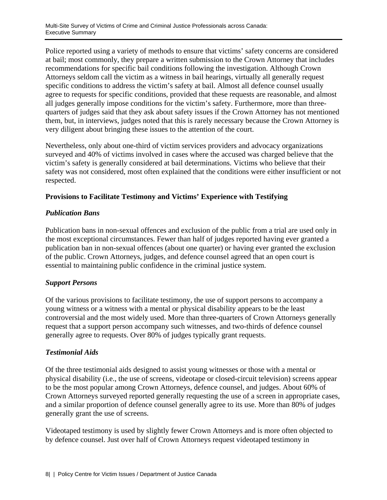Police reported using a variety of methods to ensure that victims' safety concerns are considered at bail; most commonly, they prepare a written submission to the Crown Attorney that includes recommendations for specific bail conditions following the investigation. Although Crown Attorneys seldom call the victim as a witness in bail hearings, virtually all generally request specific conditions to address the victim's safety at bail. Almost all defence counsel usually agree to requests for specific conditions, provided that these requests are reasonable, and almost all judges generally impose conditions for the victim's safety. Furthermore, more than threequarters of judges said that they ask about safety issues if the Crown Attorney has not mentioned them, but, in interviews, judges noted that this is rarely necessary because the Crown Attorney is very diligent about bringing these issues to the attention of the court.

Nevertheless, only about one-third of victim services providers and advocacy organizations surveyed and 40% of victims involved in cases where the accused was charged believe that the victim's safety is generally considered at bail determinations. Victims who believe that their safety was not considered, most often explained that the conditions were either insufficient or not respected.

#### **Provisions to Facilitate Testimony and Victims' Experience with Testifying**

#### *Publication Bans*

Publication bans in non-sexual offences and exclusion of the public from a trial are used only in the most exceptional circumstances. Fewer than half of judges reported having ever granted a publication ban in non-sexual offences (about one quarter) or having ever granted the exclusion of the public. Crown Attorneys, judges, and defence counsel agreed that an open court is essential to maintaining public confidence in the criminal justice system.

# *Support Persons*

Of the various provisions to facilitate testimony, the use of support persons to accompany a young witness or a witness with a mental or physical disability appears to be the least controversial and the most widely used. More than three-quarters of Crown Attorneys generally request that a support person accompany such witnesses, and two-thirds of defence counsel generally agree to requests. Over 80% of judges typically grant requests.

# *Testimonial Aids*

Of the three testimonial aids designed to assist young witnesses or those with a mental or physical disability (i.e., the use of screens, videotape or closed-circuit television) screens appear to be the most popular among Crown Attorneys, defence counsel, and judges. About 60% of Crown Attorneys surveyed reported generally requesting the use of a screen in appropriate cases, and a similar proportion of defence counsel generally agree to its use. More than 80% of judges generally grant the use of screens.

Videotaped testimony is used by slightly fewer Crown Attorneys and is more often objected to by defence counsel. Just over half of Crown Attorneys request videotaped testimony in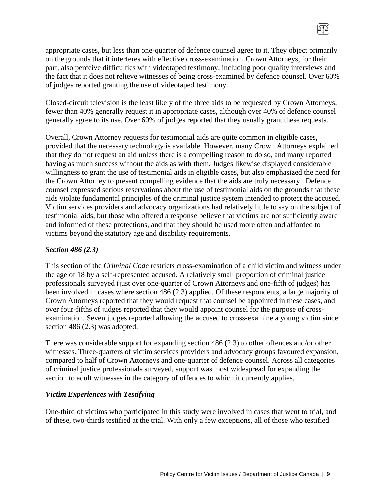appropriate cases, but less than one-quarter of defence counsel agree to it. They object primarily on the grounds that it interferes with effective cross-examination. Crown Attorneys, for their part, also perceive difficulties with videotaped testimony, including poor quality interviews and the fact that it does not relieve witnesses of being cross-examined by defence counsel. Over 60% of judges reported granting the use of videotaped testimony.

 $\sqrt{10}$ 

Closed-circuit television is the least likely of the three aids to be requested by Crown Attorneys; fewer than 40% generally request it in appropriate cases, although over 40% of defence counsel generally agree to its use. Over 60% of judges reported that they usually grant these requests.

Overall, Crown Attorney requests for testimonial aids are quite common in eligible cases, provided that the necessary technology is available. However, many Crown Attorneys explained that they do not request an aid unless there is a compelling reason to do so, and many reported having as much success without the aids as with them. Judges likewise displayed considerable willingness to grant the use of testimonial aids in eligible cases, but also emphasized the need for the Crown Attorney to present compelling evidence that the aids are truly necessary. Defence counsel expressed serious reservations about the use of testimonial aids on the grounds that these aids violate fundamental principles of the criminal justice system intended to protect the accused. Victim services providers and advocacy organizations had relatively little to say on the subject of testimonial aids, but those who offered a response believe that victims are not sufficiently aware and informed of these protections, and that they should be used more often and afforded to victims beyond the statutory age and disability requirements.

### *Section 486 (2.3)*

This section of the *Criminal Code* restrict*s* cross-examination of a child victim and witness under the age of 18 by a self-represented accused**.** A relatively small proportion of criminal justice professionals surveyed (just over one-quarter of Crown Attorneys and one-fifth of judges) has been involved in cases where section 486 (2.3) applied. Of these respondents, a large majority of Crown Attorneys reported that they would request that counsel be appointed in these cases, and over four-fifths of judges reported that they would appoint counsel for the purpose of crossexamination. Seven judges reported allowing the accused to cross-examine a young victim since section 486 (2.3) was adopted.

There was considerable support for expanding section 486 (2.3) to other offences and/or other witnesses. Three-quarters of victim services providers and advocacy groups favoured expansion, compared to half of Crown Attorneys and one-quarter of defence counsel. Across all categories of criminal justice professionals surveyed, support was most widespread for expanding the section to adult witnesses in the category of offences to which it currently applies.

#### *Victim Experiences with Testifying*

One-third of victims who participated in this study were involved in cases that went to trial, and of these, two-thirds testified at the trial. With only a few exceptions, all of those who testified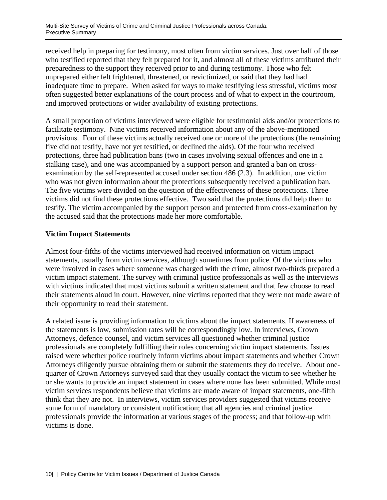received help in preparing for testimony, most often from victim services. Just over half of those who testified reported that they felt prepared for it, and almost all of these victims attributed their preparedness to the support they received prior to and during testimony. Those who felt unprepared either felt frightened, threatened, or revictimized, or said that they had had inadequate time to prepare. When asked for ways to make testifying less stressful, victims most often suggested better explanations of the court process and of what to expect in the courtroom, and improved protections or wider availability of existing protections.

A small proportion of victims interviewed were eligible for testimonial aids and/or protections to facilitate testimony. Nine victims received information about any of the above-mentioned provisions. Four of these victims actually received one or more of the protections (the remaining five did not testify, have not yet testified, or declined the aids). Of the four who received protections, three had publication bans (two in cases involving sexual offences and one in a stalking case), and one was accompanied by a support person and granted a ban on crossexamination by the self-represented accused under section 486 (2.3). In addition, one victim who was not given information about the protections subsequently received a publication ban. The five victims were divided on the question of the effectiveness of these protections. Three victims did not find these protections effective. Two said that the protections did help them to testify. The victim accompanied by the support person and protected from cross-examination by the accused said that the protections made her more comfortable.

### **Victim Impact Statements**

Almost four-fifths of the victims interviewed had received information on victim impact statements, usually from victim services, although sometimes from police. Of the victims who were involved in cases where someone was charged with the crime, almost two-thirds prepared a victim impact statement. The survey with criminal justice professionals as well as the interviews with victims indicated that most victims submit a written statement and that few choose to read their statements aloud in court. However, nine victims reported that they were not made aware of their opportunity to read their statement.

A related issue is providing information to victims about the impact statements. If awareness of the statements is low, submission rates will be correspondingly low. In interviews, Crown Attorneys, defence counsel, and victim services all questioned whether criminal justice professionals are completely fulfilling their roles concerning victim impact statements. Issues raised were whether police routinely inform victims about impact statements and whether Crown Attorneys diligently pursue obtaining them or submit the statements they do receive. About onequarter of Crown Attorneys surveyed said that they usually contact the victim to see whether he or she wants to provide an impact statement in cases where none has been submitted. While most victim services respondents believe that victims are made aware of impact statements, one-fifth think that they are not. In interviews, victim services providers suggested that victims receive some form of mandatory or consistent notification; that all agencies and criminal justice professionals provide the information at various stages of the process; and that follow-up with victims is done.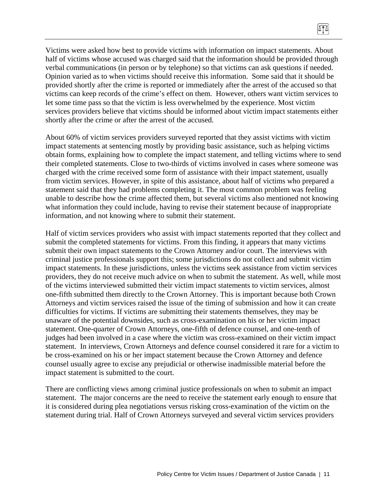Victims were asked how best to provide victims with information on impact statements. About half of victims whose accused was charged said that the information should be provided through verbal communications (in person or by telephone) so that victims can ask questions if needed. Opinion varied as to when victims should receive this information. Some said that it should be provided shortly after the crime is reported or immediately after the arrest of the accused so that victims can keep records of the crime's effect on them. However, others want victim services to let some time pass so that the victim is less overwhelmed by the experience. Most victim services providers believe that victims should be informed about victim impact statements either shortly after the crime or after the arrest of the accused.

About 60% of victim services providers surveyed reported that they assist victims with victim impact statements at sentencing mostly by providing basic assistance, such as helping victims obtain forms, explaining how to complete the impact statement, and telling victims where to send their completed statements. Close to two-thirds of victims involved in cases where someone was charged with the crime received some form of assistance with their impact statement, usually from victim services. However, in spite of this assistance, about half of victims who prepared a statement said that they had problems completing it. The most common problem was feeling unable to describe how the crime affected them, but several victims also mentioned not knowing what information they could include, having to revise their statement because of inappropriate information, and not knowing where to submit their statement.

Half of victim services providers who assist with impact statements reported that they collect and submit the completed statements for victims. From this finding, it appears that many victims submit their own impact statements to the Crown Attorney and/or court. The interviews with criminal justice professionals support this; some jurisdictions do not collect and submit victim impact statements. In these jurisdictions, unless the victims seek assistance from victim services providers, they do not receive much advice on when to submit the statement. As well, while most of the victims interviewed submitted their victim impact statements to victim services, almost one-fifth submitted them directly to the Crown Attorney. This is important because both Crown Attorneys and victim services raised the issue of the timing of submission and how it can create difficulties for victims. If victims are submitting their statements themselves, they may be unaware of the potential downsides, such as cross-examination on his or her victim impact statement. One-quarter of Crown Attorneys, one-fifth of defence counsel, and one-tenth of judges had been involved in a case where the victim was cross-examined on their victim impact statement. In interviews, Crown Attorneys and defence counsel considered it rare for a victim to be cross-examined on his or her impact statement because the Crown Attorney and defence counsel usually agree to excise any prejudicial or otherwise inadmissible material before the impact statement is submitted to the court.

There are conflicting views among criminal justice professionals on when to submit an impact statement. The major concerns are the need to receive the statement early enough to ensure that it is considered during plea negotiations versus risking cross-examination of the victim on the statement during trial. Half of Crown Attorneys surveyed and several victim services providers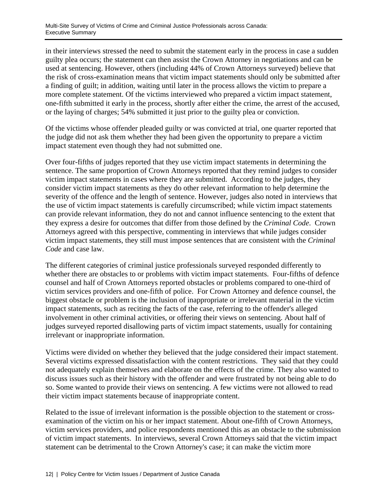in their interviews stressed the need to submit the statement early in the process in case a sudden guilty plea occurs; the statement can then assist the Crown Attorney in negotiations and can be used at sentencing. However, others (including 44% of Crown Attorneys surveyed) believe that the risk of cross-examination means that victim impact statements should only be submitted after a finding of guilt; in addition, waiting until later in the process allows the victim to prepare a more complete statement. Of the victims interviewed who prepared a victim impact statement, one-fifth submitted it early in the process, shortly after either the crime, the arrest of the accused, or the laying of charges; 54% submitted it just prior to the guilty plea or conviction.

Of the victims whose offender pleaded guilty or was convicted at trial, one quarter reported that the judge did not ask them whether they had been given the opportunity to prepare a victim impact statement even though they had not submitted one.

Over four-fifths of judges reported that they use victim impact statements in determining the sentence. The same proportion of Crown Attorneys reported that they remind judges to consider victim impact statements in cases where they are submitted. According to the judges, they consider victim impact statements as they do other relevant information to help determine the severity of the offence and the length of sentence. However, judges also noted in interviews that the use of victim impact statements is carefully circumscribed; while victim impact statements can provide relevant information, they do not and cannot influence sentencing to the extent that they express a desire for outcomes that differ from those defined by the *Criminal Code*. Crown Attorneys agreed with this perspective, commenting in interviews that while judges consider victim impact statements, they still must impose sentences that are consistent with the *Criminal Code* and case law.

The different categories of criminal justice professionals surveyed responded differently to whether there are obstacles to or problems with victim impact statements. Four-fifths of defence counsel and half of Crown Attorneys reported obstacles or problems compared to one-third of victim services providers and one-fifth of police. For Crown Attorney and defence counsel, the biggest obstacle or problem is the inclusion of inappropriate or irrelevant material in the victim impact statements, such as reciting the facts of the case, referring to the offender's alleged involvement in other criminal activities, or offering their views on sentencing. About half of judges surveyed reported disallowing parts of victim impact statements, usually for containing irrelevant or inappropriate information.

Victims were divided on whether they believed that the judge considered their impact statement. Several victims expressed dissatisfaction with the content restrictions. They said that they could not adequately explain themselves and elaborate on the effects of the crime. They also wanted to discuss issues such as their history with the offender and were frustrated by not being able to do so. Some wanted to provide their views on sentencing. A few victims were not allowed to read their victim impact statements because of inappropriate content.

Related to the issue of irrelevant information is the possible objection to the statement or crossexamination of the victim on his or her impact statement. About one-fifth of Crown Attorneys, victim services providers, and police respondents mentioned this as an obstacle to the submission of victim impact statements. In interviews, several Crown Attorneys said that the victim impact statement can be detrimental to the Crown Attorney's case; it can make the victim more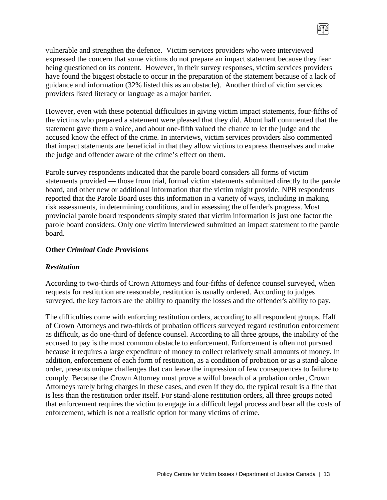vulnerable and strengthen the defence. Victim services providers who were interviewed expressed the concern that some victims do not prepare an impact statement because they fear being questioned on its content. However, in their survey responses, victim services providers have found the biggest obstacle to occur in the preparation of the statement because of a lack of guidance and information (32% listed this as an obstacle). Another third of victim services providers listed literacy or language as a major barrier.

m

However, even with these potential difficulties in giving victim impact statements, four-fifths of the victims who prepared a statement were pleased that they did. About half commented that the statement gave them a voice, and about one-fifth valued the chance to let the judge and the accused know the effect of the crime. In interviews, victim services providers also commented that impact statements are beneficial in that they allow victims to express themselves and make the judge and offender aware of the crime's effect on them.

Parole survey respondents indicated that the parole board considers all forms of victim statements provided — those from trial, formal victim statements submitted directly to the parole board, and other new or additional information that the victim might provide. NPB respondents reported that the Parole Board uses this information in a variety of ways, including in making risk assessments, in determining conditions, and in assessing the offender's progress. Most provincial parole board respondents simply stated that victim information is just one factor the parole board considers. Only one victim interviewed submitted an impact statement to the parole board.

#### **Other** *Criminal Code P***rovisions**

#### *Restitution*

According to two-thirds of Crown Attorneys and four-fifths of defence counsel surveyed, when requests for restitution are reasonable, restitution is usually ordered. According to judges surveyed, the key factors are the ability to quantify the losses and the offender's ability to pay.

The difficulties come with enforcing restitution orders, according to all respondent groups. Half of Crown Attorneys and two-thirds of probation officers surveyed regard restitution enforcement as difficult, as do one-third of defence counsel. According to all three groups, the inability of the accused to pay is the most common obstacle to enforcement. Enforcement is often not pursued because it requires a large expenditure of money to collect relatively small amounts of money. In addition, enforcement of each form of restitution, as a condition of probation or as a stand-alone order, presents unique challenges that can leave the impression of few consequences to failure to comply. Because the Crown Attorney must prove a wilful breach of a probation order, Crown Attorneys rarely bring charges in these cases, and even if they do, the typical result is a fine that is less than the restitution order itself. For stand-alone restitution orders, all three groups noted that enforcement requires the victim to engage in a difficult legal process and bear all the costs of enforcement, which is not a realistic option for many victims of crime.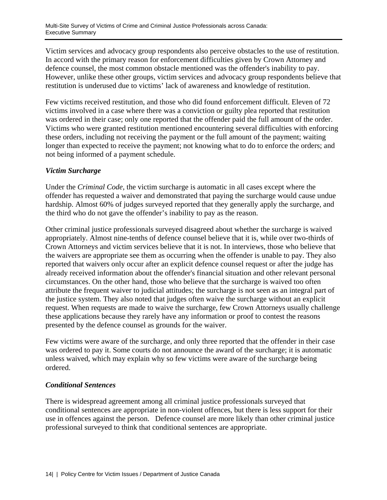Victim services and advocacy group respondents also perceive obstacles to the use of restitution. In accord with the primary reason for enforcement difficulties given by Crown Attorney and defence counsel, the most common obstacle mentioned was the offender's inability to pay. However, unlike these other groups, victim services and advocacy group respondents believe that restitution is underused due to victims' lack of awareness and knowledge of restitution.

Few victims received restitution, and those who did found enforcement difficult. Eleven of 72 victims involved in a case where there was a conviction or guilty plea reported that restitution was ordered in their case; only one reported that the offender paid the full amount of the order. Victims who were granted restitution mentioned encountering several difficulties with enforcing these orders, including not receiving the payment or the full amount of the payment; waiting longer than expected to receive the payment; not knowing what to do to enforce the orders; and not being informed of a payment schedule.

#### *Victim Surcharge*

Under the *Criminal Code,* the victim surcharge is automatic in all cases except where the offender has requested a waiver and demonstrated that paying the surcharge would cause undue hardship. Almost 60% of judges surveyed reported that they generally apply the surcharge, and the third who do not gave the offender's inability to pay as the reason.

Other criminal justice professionals surveyed disagreed about whether the surcharge is waived appropriately. Almost nine-tenths of defence counsel believe that it is, while over two-thirds of Crown Attorneys and victim services believe that it is not. In interviews, those who believe that the waivers are appropriate see them as occurring when the offender is unable to pay. They also reported that waivers only occur after an explicit defence counsel request or after the judge has already received information about the offender's financial situation and other relevant personal circumstances. On the other hand, those who believe that the surcharge is waived too often attribute the frequent waiver to judicial attitudes; the surcharge is not seen as an integral part of the justice system. They also noted that judges often waive the surcharge without an explicit request. When requests are made to waive the surcharge, few Crown Attorneys usually challenge these applications because they rarely have any information or proof to contest the reasons presented by the defence counsel as grounds for the waiver.

Few victims were aware of the surcharge, and only three reported that the offender in their case was ordered to pay it. Some courts do not announce the award of the surcharge; it is automatic unless waived, which may explain why so few victims were aware of the surcharge being ordered.

#### *Conditional Sentences*

There is widespread agreement among all criminal justice professionals surveyed that conditional sentences are appropriate in non-violent offences, but there is less support for their use in offences against the person. Defence counsel are more likely than other criminal justice professional surveyed to think that conditional sentences are appropriate.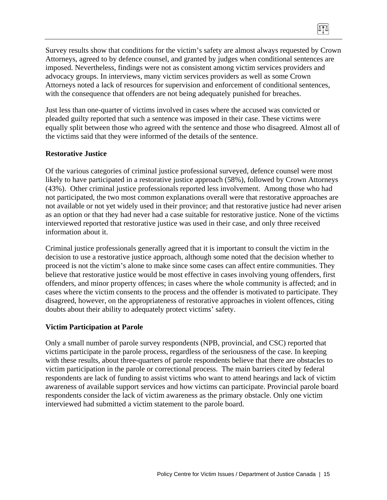Survey results show that conditions for the victim's safety are almost always requested by Crown Attorneys, agreed to by defence counsel, and granted by judges when conditional sentences are imposed. Nevertheless, findings were not as consistent among victim services providers and advocacy groups. In interviews, many victim services providers as well as some Crown Attorneys noted a lack of resources for supervision and enforcement of conditional sentences, with the consequence that offenders are not being adequately punished for breaches.

 $\sqrt{10}$ 

Just less than one-quarter of victims involved in cases where the accused was convicted or pleaded guilty reported that such a sentence was imposed in their case. These victims were equally split between those who agreed with the sentence and those who disagreed. Almost all of the victims said that they were informed of the details of the sentence.

#### **Restorative Justice**

Of the various categories of criminal justice professional surveyed, defence counsel were most likely to have participated in a restorative justice approach (58%), followed by Crown Attorneys (43%). Other criminal justice professionals reported less involvement. Among those who had not participated, the two most common explanations overall were that restorative approaches are not available or not yet widely used in their province; and that restorative justice had never arisen as an option or that they had never had a case suitable for restorative justice. None of the victims interviewed reported that restorative justice was used in their case, and only three received information about it.

Criminal justice professionals generally agreed that it is important to consult the victim in the decision to use a restorative justice approach, although some noted that the decision whether to proceed is not the victim's alone to make since some cases can affect entire communities. They believe that restorative justice would be most effective in cases involving young offenders, first offenders, and minor property offences; in cases where the whole community is affected; and in cases where the victim consents to the process and the offender is motivated to participate. They disagreed, however, on the appropriateness of restorative approaches in violent offences, citing doubts about their ability to adequately protect victims' safety.

#### **Victim Participation at Parole**

Only a small number of parole survey respondents (NPB, provincial, and CSC) reported that victims participate in the parole process, regardless of the seriousness of the case. In keeping with these results, about three-quarters of parole respondents believe that there are obstacles to victim participation in the parole or correctional process. The main barriers cited by federal respondents are lack of funding to assist victims who want to attend hearings and lack of victim awareness of available support services and how victims can participate. Provincial parole board respondents consider the lack of victim awareness as the primary obstacle. Only one victim interviewed had submitted a victim statement to the parole board.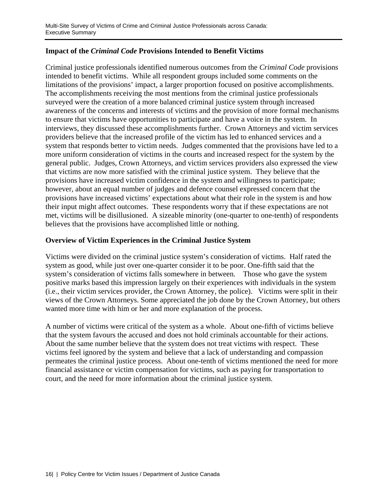### **Impact of the** *Criminal Code* **Provisions Intended to Benefit Victims**

Criminal justice professionals identified numerous outcomes from the *Criminal Code* provisions intended to benefit victims. While all respondent groups included some comments on the limitations of the provisions' impact, a larger proportion focused on positive accomplishments. The accomplishments receiving the most mentions from the criminal justice professionals surveyed were the creation of a more balanced criminal justice system through increased awareness of the concerns and interests of victims and the provision of more formal mechanisms to ensure that victims have opportunities to participate and have a voice in the system. In interviews, they discussed these accomplishments further. Crown Attorneys and victim services providers believe that the increased profile of the victim has led to enhanced services and a system that responds better to victim needs. Judges commented that the provisions have led to a more uniform consideration of victims in the courts and increased respect for the system by the general public. Judges, Crown Attorneys, and victim services providers also expressed the view that victims are now more satisfied with the criminal justice system. They believe that the provisions have increased victim confidence in the system and willingness to participate; however, about an equal number of judges and defence counsel expressed concern that the provisions have increased victims' expectations about what their role in the system is and how their input might affect outcomes. These respondents worry that if these expectations are not met, victims will be disillusioned. A sizeable minority (one-quarter to one-tenth) of respondents believes that the provisions have accomplished little or nothing.

### **Overview of Victim Experiences in the Criminal Justice System**

Victims were divided on the criminal justice system's consideration of victims. Half rated the system as good, while just over one-quarter consider it to be poor. One-fifth said that the system's consideration of victims falls somewhere in between. Those who gave the system positive marks based this impression largely on their experiences with individuals in the system (i.e., their victim services provider, the Crown Attorney, the police). Victims were split in their views of the Crown Attorneys. Some appreciated the job done by the Crown Attorney, but others wanted more time with him or her and more explanation of the process.

A number of victims were critical of the system as a whole. About one-fifth of victims believe that the system favours the accused and does not hold criminals accountable for their actions. About the same number believe that the system does not treat victims with respect. These victims feel ignored by the system and believe that a lack of understanding and compassion permeates the criminal justice process. About one-tenth of victims mentioned the need for more financial assistance or victim compensation for victims, such as paying for transportation to court, and the need for more information about the criminal justice system.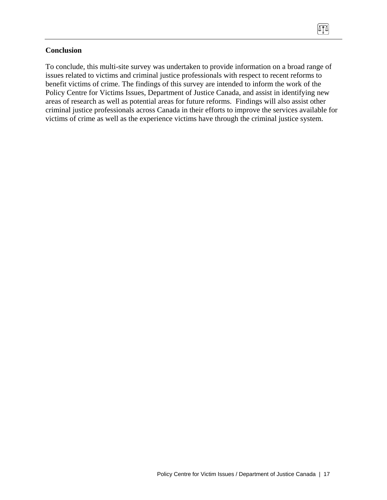To conclude, this multi-site survey was undertaken to provide information on a broad range of issues related to victims and criminal justice professionals with respect to recent reforms to benefit victims of crime. The findings of this survey are intended to inform the work of the Policy Centre for Victims Issues, Department of Justice Canada, and assist in identifying new areas of research as well as potential areas for future reforms. Findings will also assist other criminal justice professionals across Canada in their efforts to improve the services available for victims of crime as well as the experience victims have through the criminal justice system.

 $\sqrt{10}$